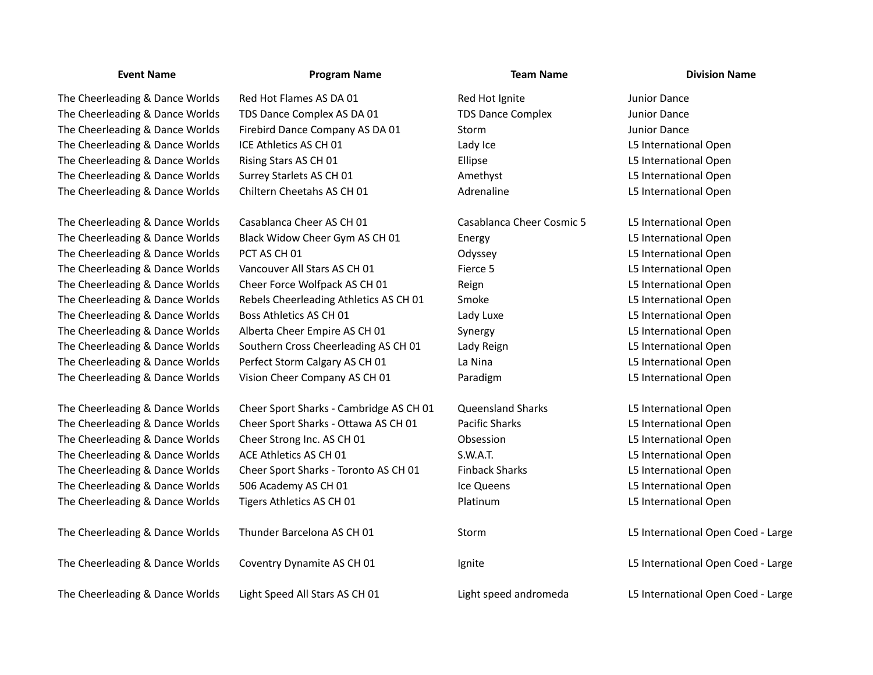The Cheerleading & Dance Worlds TDS Dance Complex AS DA 01 TDS Dance Complex Junior Dance The Cheerleading & Dance Worlds Firebird Dance Company AS DA 01 Storm Storm Storm Junior Dance The Cheerleading & Dance Worlds ICE Athletics AS CH 01 Lady Ice Lady Ice L5 International Open The Cheerleading & Dance Worlds Rising Stars AS CH 01 Ellipse Ellipse L5 International Open The Cheerleading & Dance Worlds Surrey Starlets AS CH 01 Amethyst Amethyst L5 International Open The Cheerleading & Dance Worlds Chiltern Cheetahs AS CH 01 Adrenaline L5 International Open

## **Event Name Program Name Team Name Division Name**

The Cheerleading & Dance Worlds Red Hot Flames AS DA 01 Red Hot Ignite Red Hot Ignite Red Hot Ignite Red Hot Ignite Red Hot Ignite Red Hot Ignite Red Hot Ignite Red Hot Ignite Red Hot Ignite Red Hot Ignite Red Hot Ignite R

The Cheerleading & Dance Worlds Casablanca Cheer AS CH 01 Casablanca Cheer Cosmic 5 L5 International Open The Cheerleading & Dance Worlds Black Widow Cheer Gym AS CH 01 Energy Energy Energy L5 International Open The Cheerleading & Dance Worlds PCT AS CH 01 CHEERLEADING DEVICES And DETAILS Odyssey CLS International Open The Cheerleading & Dance Worlds Vancouver All Stars AS CH 01 Fierce 5 L5 International Open The Cheerleading & Dance Worlds Cheer Force Wolfpack AS CH 01 Reign Reign Reign L5 International Open The Cheerleading & Dance Worlds Rebels Cheerleading Athletics AS CH 01 Smoke L5 International Open The Cheerleading & Dance Worlds Boss Athletics AS CH 01 Lady Luxe Lady Luxe L5 International Open The Cheerleading & Dance Worlds Alberta Cheer Empire AS CH 01 Synergy L5 International Open The Cheerleading & Dance Worlds Southern Cross Cheerleading AS CH 01 Lady Reign L5 International Open The Cheerleading & Dance Worlds Perfect Storm Calgary AS CH 01 La Nina La Nina L5 International Open The Cheerleading & Dance Worlds Vision Cheer Company AS CH 01 Paradigm L5 International Open

The Cheerleading & Dance Worlds Cheer Sport Sharks - Cambridge AS CH 01 Queensland Sharks L5 International Open The Cheerleading & Dance Worlds Cheer Sport Sharks - Ottawa AS CH 01 Pacific Sharks L5 International Open The Cheerleading & Dance Worlds Cheer Strong Inc. AS CH 01 Obsession L5 International Open The Cheerleading & Dance Worlds ACE Athletics AS CH 01 S.W.A.T. S.W.A.T. S.W.A.T. L5 International Open The Cheerleading & Dance Worlds Cheer Sport Sharks - Toronto AS CH 01 Finback Sharks L5 International Open The Cheerleading & Dance Worlds 506 Academy AS CH 01 12 Ice Queens L5 International Open The Cheerleading & Dance Worlds Tigers Athletics AS CH 01 Platinum Platinum L5 International Open

The Cheerleading & Dance Worlds Thunder Barcelona AS CH 01 Storm Storm L5 International Open Coed - Large The Cheerleading & Dance Worlds Coventry Dynamite AS CH 01 Ignite Large L5 International Open Coed - Large The Cheerleading & Dance Worlds Light Speed All Stars AS CH 01 Light speed andromeda L5 International Open Coed - Large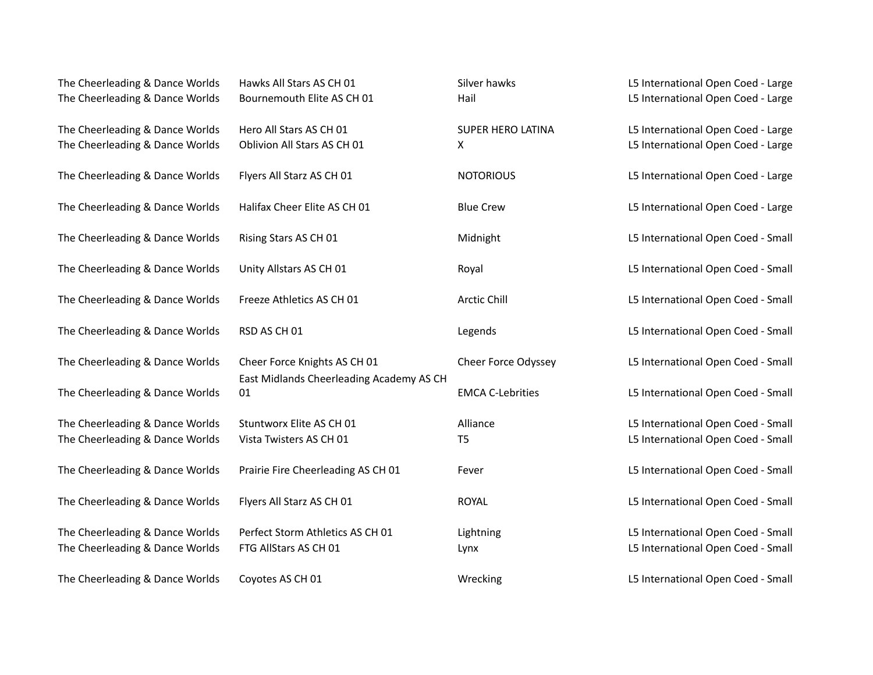| The Cheerleading & Dance Worlds<br>The Cheerleading & Dance Worlds | Hawks All Stars AS CH 01<br>Bournemouth Elite AS CH 01 | Silver hawks<br>Hail       | L5 International Open Coed - Large<br>L5 International Open Coed - Large |
|--------------------------------------------------------------------|--------------------------------------------------------|----------------------------|--------------------------------------------------------------------------|
|                                                                    |                                                        |                            |                                                                          |
| The Cheerleading & Dance Worlds                                    | Hero All Stars AS CH 01                                | SUPER HERO LATINA          | L5 International Open Coed - Large                                       |
| The Cheerleading & Dance Worlds                                    | Oblivion All Stars AS CH 01                            | X                          | L5 International Open Coed - Large                                       |
| The Cheerleading & Dance Worlds                                    | Flyers All Starz AS CH 01                              | <b>NOTORIOUS</b>           | L5 International Open Coed - Large                                       |
| The Cheerleading & Dance Worlds                                    | Halifax Cheer Elite AS CH 01                           | <b>Blue Crew</b>           | L5 International Open Coed - Large                                       |
| The Cheerleading & Dance Worlds                                    | Rising Stars AS CH 01                                  | Midnight                   | L5 International Open Coed - Small                                       |
| The Cheerleading & Dance Worlds                                    | Unity Allstars AS CH 01                                | Royal                      | L5 International Open Coed - Small                                       |
| The Cheerleading & Dance Worlds                                    | Freeze Athletics AS CH 01                              | Arctic Chill               | L5 International Open Coed - Small                                       |
| The Cheerleading & Dance Worlds                                    | RSD AS CH 01                                           | Legends                    | L5 International Open Coed - Small                                       |
| The Cheerleading & Dance Worlds                                    | Cheer Force Knights AS CH 01                           | <b>Cheer Force Odyssey</b> | L5 International Open Coed - Small                                       |
| The Cheerleading & Dance Worlds                                    | East Midlands Cheerleading Academy AS CH<br>01         | <b>EMCA C-Lebrities</b>    | L5 International Open Coed - Small                                       |
| The Cheerleading & Dance Worlds                                    | Stuntworx Elite AS CH 01                               | Alliance                   | L5 International Open Coed - Small                                       |
| The Cheerleading & Dance Worlds                                    | Vista Twisters AS CH 01                                | T <sub>5</sub>             | L5 International Open Coed - Small                                       |
| The Cheerleading & Dance Worlds                                    | Prairie Fire Cheerleading AS CH 01                     | Fever                      | L5 International Open Coed - Small                                       |
| The Cheerleading & Dance Worlds                                    | Flyers All Starz AS CH 01                              | <b>ROYAL</b>               | L5 International Open Coed - Small                                       |
| The Cheerleading & Dance Worlds                                    | Perfect Storm Athletics AS CH 01                       | Lightning                  | L5 International Open Coed - Small                                       |
| The Cheerleading & Dance Worlds                                    | FTG AllStars AS CH 01                                  | Lynx                       | L5 International Open Coed - Small                                       |
| The Cheerleading & Dance Worlds                                    | Coyotes AS CH 01                                       | Wrecking                   | L5 International Open Coed - Small                                       |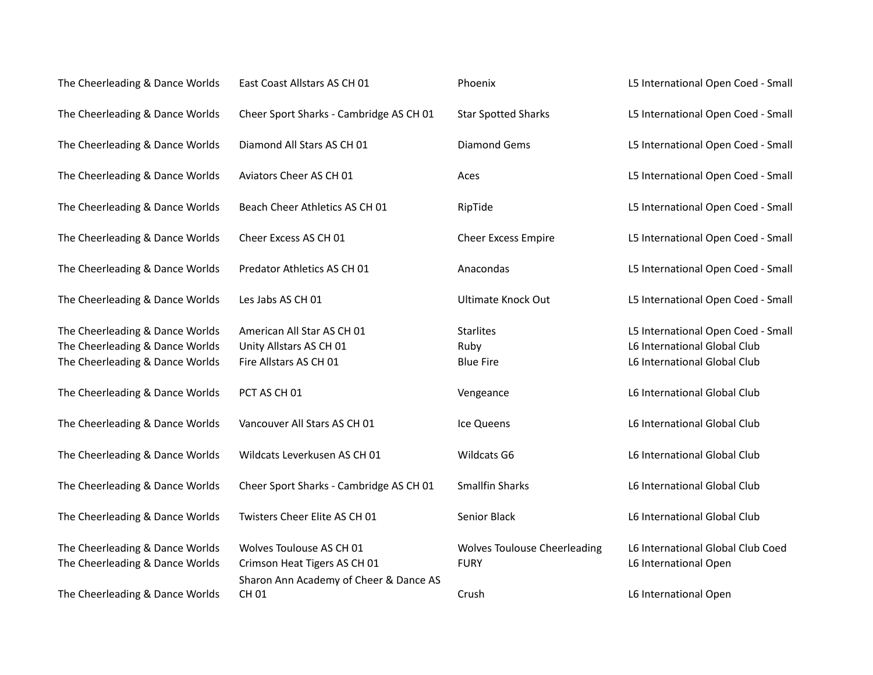| The Cheerleading & Dance Worlds                                                                       | East Coast Allstars AS CH 01                                                                       | Phoenix                                            | L5 International Open Coed - Small                                                                 |
|-------------------------------------------------------------------------------------------------------|----------------------------------------------------------------------------------------------------|----------------------------------------------------|----------------------------------------------------------------------------------------------------|
| The Cheerleading & Dance Worlds                                                                       | Cheer Sport Sharks - Cambridge AS CH 01                                                            | <b>Star Spotted Sharks</b>                         | L5 International Open Coed - Small                                                                 |
| The Cheerleading & Dance Worlds                                                                       | Diamond All Stars AS CH 01                                                                         | <b>Diamond Gems</b>                                | L5 International Open Coed - Small                                                                 |
| The Cheerleading & Dance Worlds                                                                       | Aviators Cheer AS CH 01                                                                            | Aces                                               | L5 International Open Coed - Small                                                                 |
| The Cheerleading & Dance Worlds                                                                       | Beach Cheer Athletics AS CH 01                                                                     | RipTide                                            | L5 International Open Coed - Small                                                                 |
| The Cheerleading & Dance Worlds                                                                       | Cheer Excess AS CH 01                                                                              | <b>Cheer Excess Empire</b>                         | L5 International Open Coed - Small                                                                 |
| The Cheerleading & Dance Worlds                                                                       | Predator Athletics AS CH 01                                                                        | Anacondas                                          | L5 International Open Coed - Small                                                                 |
| The Cheerleading & Dance Worlds                                                                       | Les Jabs AS CH 01                                                                                  | <b>Ultimate Knock Out</b>                          | L5 International Open Coed - Small                                                                 |
| The Cheerleading & Dance Worlds<br>The Cheerleading & Dance Worlds<br>The Cheerleading & Dance Worlds | American All Star AS CH 01<br>Unity Allstars AS CH 01<br>Fire Allstars AS CH 01                    | <b>Starlites</b><br>Ruby<br><b>Blue Fire</b>       | L5 International Open Coed - Small<br>L6 International Global Club<br>L6 International Global Club |
| The Cheerleading & Dance Worlds                                                                       | PCT AS CH 01                                                                                       | Vengeance                                          | L6 International Global Club                                                                       |
| The Cheerleading & Dance Worlds                                                                       | Vancouver All Stars AS CH 01                                                                       | Ice Queens                                         | L6 International Global Club                                                                       |
| The Cheerleading & Dance Worlds                                                                       | Wildcats Leverkusen AS CH 01                                                                       | Wildcats G6                                        | L6 International Global Club                                                                       |
| The Cheerleading & Dance Worlds                                                                       | Cheer Sport Sharks - Cambridge AS CH 01                                                            | <b>Smallfin Sharks</b>                             | L6 International Global Club                                                                       |
| The Cheerleading & Dance Worlds                                                                       | Twisters Cheer Elite AS CH 01                                                                      | Senior Black                                       | L6 International Global Club                                                                       |
| The Cheerleading & Dance Worlds<br>The Cheerleading & Dance Worlds                                    | Wolves Toulouse AS CH 01<br>Crimson Heat Tigers AS CH 01<br>Sharon Ann Academy of Cheer & Dance AS | <b>Wolves Toulouse Cheerleading</b><br><b>FURY</b> | L6 International Global Club Coed<br>L6 International Open                                         |
| The Cheerleading & Dance Worlds                                                                       | CH 01                                                                                              | Crush                                              | L6 International Open                                                                              |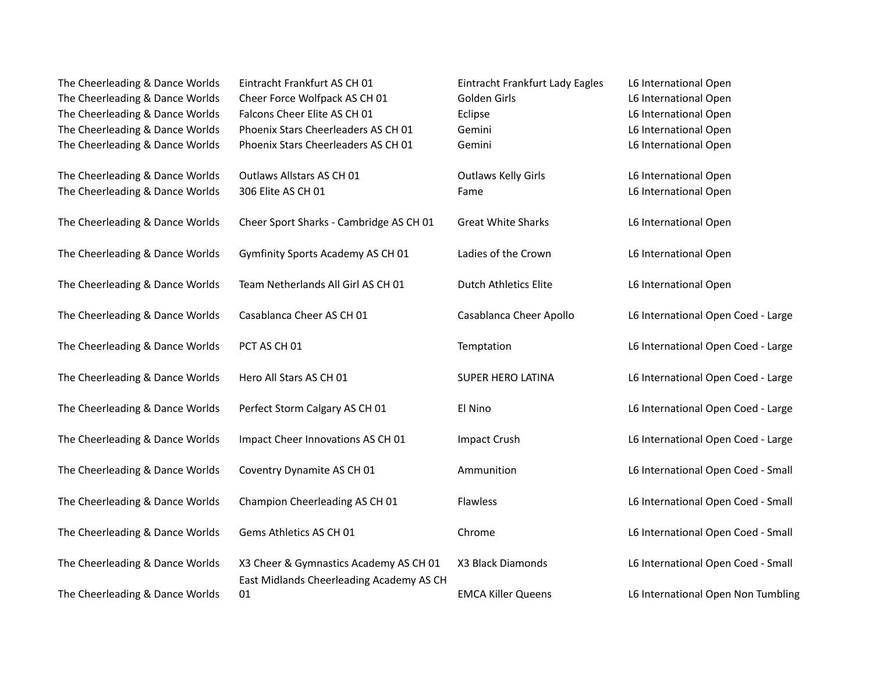| The Cheerleading & Dance Worlds<br>The Cheerleading & Dance Worlds<br>The Cheerleading & Dance Worlds<br>The Cheerleading & Dance Worlds<br>The Cheerleading & Dance Worlds | Eintracht Frankfurt AS CH 01<br>Cheer Force Wolfpack AS CH 01<br>Falcons Cheer Elite AS CH 01<br>Phoenix Stars Cheerleaders AS CH 01<br>Phoenix Stars Cheerleaders AS CH 01 | Eintracht Frankfurt Lady Eagles<br>Golden Girls<br>Eclipse<br>Gemini<br>Gemini | L6 International Open<br>L6 International Open<br>L6 International Open<br>L6 International Open<br>L6 International Open |
|-----------------------------------------------------------------------------------------------------------------------------------------------------------------------------|-----------------------------------------------------------------------------------------------------------------------------------------------------------------------------|--------------------------------------------------------------------------------|---------------------------------------------------------------------------------------------------------------------------|
| The Cheerleading & Dance Worlds<br>The Cheerleading & Dance Worlds                                                                                                          | Outlaws Allstars AS CH 01<br>306 Elite AS CH 01                                                                                                                             | <b>Outlaws Kelly Girls</b><br>Fame                                             | L6 International Open<br>L6 International Open                                                                            |
| The Cheerleading & Dance Worlds                                                                                                                                             | Cheer Sport Sharks - Cambridge AS CH 01                                                                                                                                     | <b>Great White Sharks</b>                                                      | L6 International Open                                                                                                     |
| The Cheerleading & Dance Worlds                                                                                                                                             | Gymfinity Sports Academy AS CH 01                                                                                                                                           | Ladies of the Crown                                                            | L6 International Open                                                                                                     |
| The Cheerleading & Dance Worlds                                                                                                                                             | Team Netherlands All Girl AS CH 01                                                                                                                                          | Dutch Athletics Elite                                                          | L6 International Open                                                                                                     |
| The Cheerleading & Dance Worlds                                                                                                                                             | Casablanca Cheer AS CH 01                                                                                                                                                   | Casablanca Cheer Apollo                                                        | L6 International Open Coed - Large                                                                                        |
| The Cheerleading & Dance Worlds                                                                                                                                             | PCT AS CH 01                                                                                                                                                                | Temptation                                                                     | L6 International Open Coed - Large                                                                                        |
| The Cheerleading & Dance Worlds                                                                                                                                             | Hero All Stars AS CH 01                                                                                                                                                     | SUPER HERO LATINA                                                              | L6 International Open Coed - Large                                                                                        |
| The Cheerleading & Dance Worlds                                                                                                                                             | Perfect Storm Calgary AS CH 01                                                                                                                                              | El Nino                                                                        | L6 International Open Coed - Large                                                                                        |
| The Cheerleading & Dance Worlds                                                                                                                                             | Impact Cheer Innovations AS CH 01                                                                                                                                           | <b>Impact Crush</b>                                                            | L6 International Open Coed - Large                                                                                        |
| The Cheerleading & Dance Worlds                                                                                                                                             | Coventry Dynamite AS CH 01                                                                                                                                                  | Ammunition                                                                     | L6 International Open Coed - Small                                                                                        |
| The Cheerleading & Dance Worlds                                                                                                                                             | Champion Cheerleading AS CH 01                                                                                                                                              | Flawless                                                                       | L6 International Open Coed - Small                                                                                        |
| The Cheerleading & Dance Worlds                                                                                                                                             | Gems Athletics AS CH 01                                                                                                                                                     | Chrome                                                                         | L6 International Open Coed - Small                                                                                        |
| The Cheerleading & Dance Worlds                                                                                                                                             | X3 Cheer & Gymnastics Academy AS CH 01                                                                                                                                      | X3 Black Diamonds                                                              | L6 International Open Coed - Small                                                                                        |
| The Cheerleading & Dance Worlds                                                                                                                                             | East Midlands Cheerleading Academy AS CH<br>01                                                                                                                              | <b>EMCA Killer Queens</b>                                                      | L6 International Open Non Tumbling                                                                                        |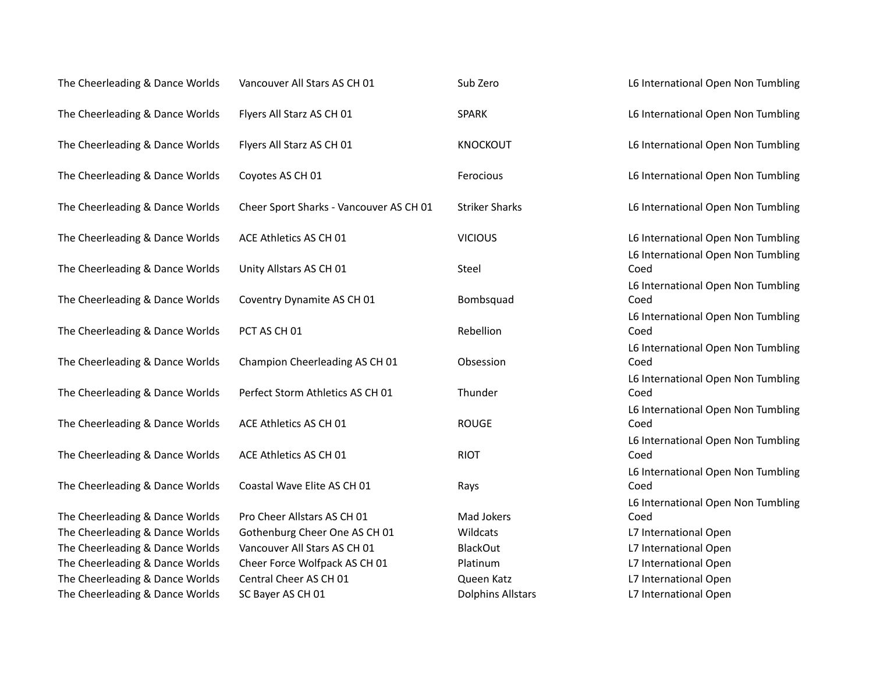| The Cheerleading & Dance Worlds | Vancouver All Stars AS CH 01            | Sub Zero                 | L6 International Open Non Tumbling         |
|---------------------------------|-----------------------------------------|--------------------------|--------------------------------------------|
| The Cheerleading & Dance Worlds | Flyers All Starz AS CH 01               | <b>SPARK</b>             | L6 International Open Non Tumbling         |
| The Cheerleading & Dance Worlds | Flyers All Starz AS CH 01               | <b>KNOCKOUT</b>          | L6 International Open Non Tumbling         |
| The Cheerleading & Dance Worlds | Coyotes AS CH 01                        | Ferocious                | L6 International Open Non Tumbling         |
| The Cheerleading & Dance Worlds | Cheer Sport Sharks - Vancouver AS CH 01 | <b>Striker Sharks</b>    | L6 International Open Non Tumbling         |
| The Cheerleading & Dance Worlds | ACE Athletics AS CH 01                  | <b>VICIOUS</b>           | L6 International Open Non Tumbling         |
| The Cheerleading & Dance Worlds | Unity Allstars AS CH 01                 | Steel                    | L6 International Open Non Tumbling<br>Coed |
| The Cheerleading & Dance Worlds | Coventry Dynamite AS CH 01              | Bombsquad                | L6 International Open Non Tumbling<br>Coed |
| The Cheerleading & Dance Worlds | PCT AS CH 01                            | Rebellion                | L6 International Open Non Tumbling<br>Coed |
| The Cheerleading & Dance Worlds | Champion Cheerleading AS CH 01          | Obsession                | L6 International Open Non Tumbling<br>Coed |
| The Cheerleading & Dance Worlds | Perfect Storm Athletics AS CH 01        | Thunder                  | L6 International Open Non Tumbling<br>Coed |
| The Cheerleading & Dance Worlds | ACE Athletics AS CH 01                  | <b>ROUGE</b>             | L6 International Open Non Tumbling<br>Coed |
| The Cheerleading & Dance Worlds | ACE Athletics AS CH 01                  | <b>RIOT</b>              | L6 International Open Non Tumbling<br>Coed |
| The Cheerleading & Dance Worlds | Coastal Wave Elite AS CH 01             | Rays                     | L6 International Open Non Tumbling<br>Coed |
| The Cheerleading & Dance Worlds | Pro Cheer Allstars AS CH 01             | Mad Jokers               | L6 International Open Non Tumbling<br>Coed |
| The Cheerleading & Dance Worlds | Gothenburg Cheer One AS CH 01           | Wildcats                 | L7 International Open                      |
| The Cheerleading & Dance Worlds | Vancouver All Stars AS CH 01            | <b>BlackOut</b>          | L7 International Open                      |
| The Cheerleading & Dance Worlds | Cheer Force Wolfpack AS CH 01           | Platinum                 | L7 International Open                      |
| The Cheerleading & Dance Worlds | Central Cheer AS CH 01                  | Queen Katz               | L7 International Open                      |
| The Cheerleading & Dance Worlds | SC Bayer AS CH 01                       | <b>Dolphins Allstars</b> | L7 International Open                      |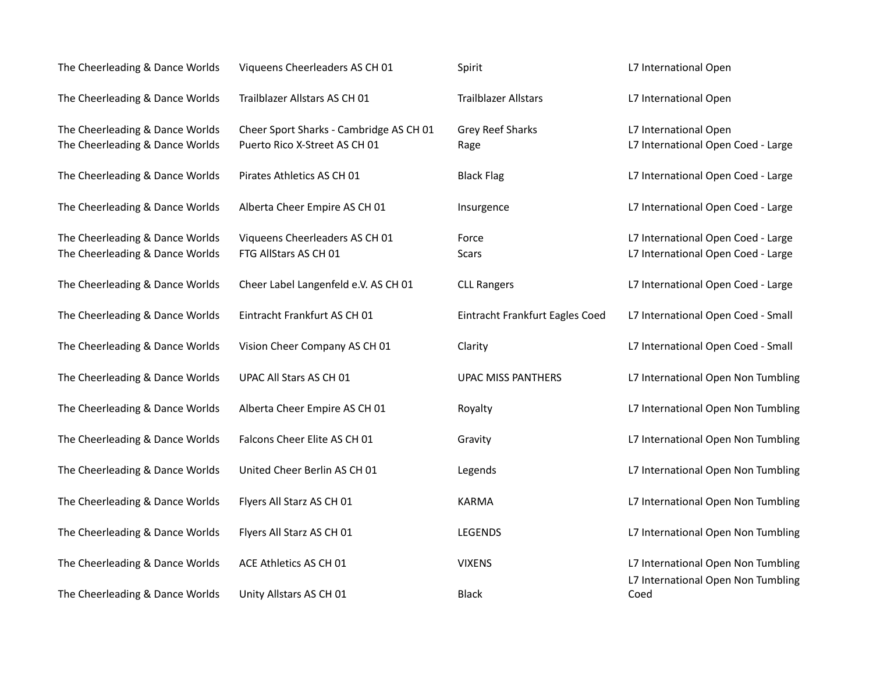| The Cheerleading & Dance Worlds                                    | Viqueens Cheerleaders AS CH 01                                           | Spirit                          | L7 International Open                                                    |
|--------------------------------------------------------------------|--------------------------------------------------------------------------|---------------------------------|--------------------------------------------------------------------------|
| The Cheerleading & Dance Worlds                                    | Trailblazer Allstars AS CH 01                                            | <b>Trailblazer Allstars</b>     | L7 International Open                                                    |
| The Cheerleading & Dance Worlds<br>The Cheerleading & Dance Worlds | Cheer Sport Sharks - Cambridge AS CH 01<br>Puerto Rico X-Street AS CH 01 | Grey Reef Sharks<br>Rage        | L7 International Open<br>L7 International Open Coed - Large              |
| The Cheerleading & Dance Worlds                                    | Pirates Athletics AS CH 01                                               | <b>Black Flag</b>               | L7 International Open Coed - Large                                       |
| The Cheerleading & Dance Worlds                                    | Alberta Cheer Empire AS CH 01                                            | Insurgence                      | L7 International Open Coed - Large                                       |
| The Cheerleading & Dance Worlds<br>The Cheerleading & Dance Worlds | Viqueens Cheerleaders AS CH 01<br>FTG AllStars AS CH 01                  | Force<br><b>Scars</b>           | L7 International Open Coed - Large<br>L7 International Open Coed - Large |
| The Cheerleading & Dance Worlds                                    | Cheer Label Langenfeld e.V. AS CH 01                                     | <b>CLL Rangers</b>              | L7 International Open Coed - Large                                       |
| The Cheerleading & Dance Worlds                                    | Eintracht Frankfurt AS CH 01                                             | Eintracht Frankfurt Eagles Coed | L7 International Open Coed - Small                                       |
| The Cheerleading & Dance Worlds                                    | Vision Cheer Company AS CH 01                                            | Clarity                         | L7 International Open Coed - Small                                       |
| The Cheerleading & Dance Worlds                                    | UPAC All Stars AS CH 01                                                  | <b>UPAC MISS PANTHERS</b>       | L7 International Open Non Tumbling                                       |
| The Cheerleading & Dance Worlds                                    | Alberta Cheer Empire AS CH 01                                            | Royalty                         | L7 International Open Non Tumbling                                       |
| The Cheerleading & Dance Worlds                                    | Falcons Cheer Elite AS CH 01                                             | Gravity                         | L7 International Open Non Tumbling                                       |
| The Cheerleading & Dance Worlds                                    | United Cheer Berlin AS CH 01                                             | Legends                         | L7 International Open Non Tumbling                                       |
| The Cheerleading & Dance Worlds                                    | Flyers All Starz AS CH 01                                                | <b>KARMA</b>                    | L7 International Open Non Tumbling                                       |
| The Cheerleading & Dance Worlds                                    | Flyers All Starz AS CH 01                                                | LEGENDS                         | L7 International Open Non Tumbling                                       |
| The Cheerleading & Dance Worlds                                    | ACE Athletics AS CH 01                                                   | <b>VIXENS</b>                   | L7 International Open Non Tumbling                                       |
| The Cheerleading & Dance Worlds                                    | Unity Allstars AS CH 01                                                  | <b>Black</b>                    | L7 International Open Non Tumbling<br>Coed                               |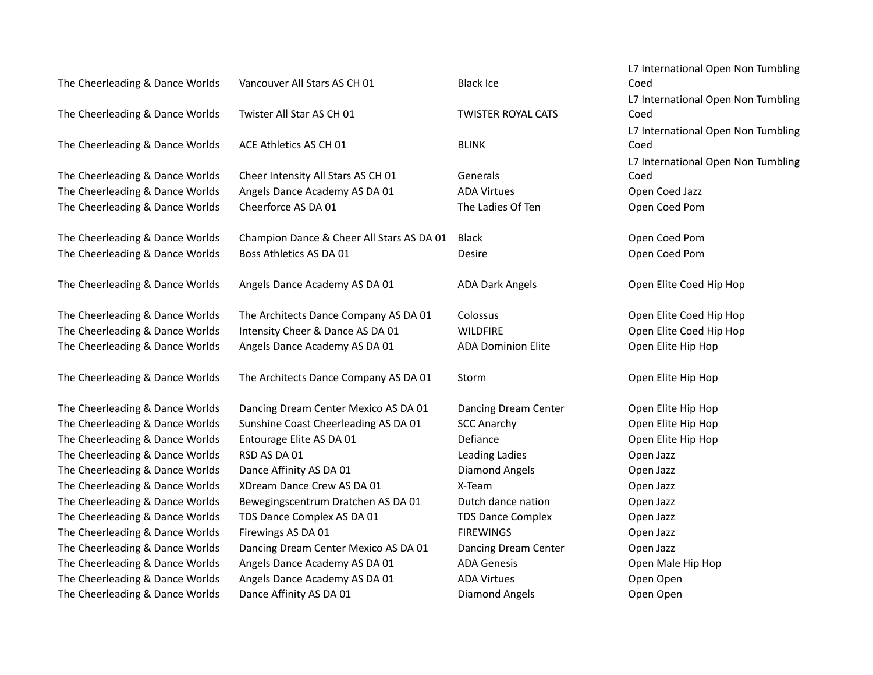| The Cheerleading & Dance Worlds | Vancouver All Stars AS CH 01              | <b>Black Ice</b>          | L7 International Open Non Tumbling<br>Coed |
|---------------------------------|-------------------------------------------|---------------------------|--------------------------------------------|
|                                 |                                           |                           | L7 International Open Non Tumbling         |
| The Cheerleading & Dance Worlds | Twister All Star AS CH 01                 | <b>TWISTER ROYAL CATS</b> | Coed                                       |
| The Cheerleading & Dance Worlds | ACE Athletics AS CH 01                    | <b>BLINK</b>              | L7 International Open Non Tumbling<br>Coed |
|                                 |                                           |                           | L7 International Open Non Tumbling         |
| The Cheerleading & Dance Worlds | Cheer Intensity All Stars AS CH 01        | Generals                  | Coed                                       |
| The Cheerleading & Dance Worlds | Angels Dance Academy AS DA 01             | <b>ADA Virtues</b>        | Open Coed Jazz                             |
| The Cheerleading & Dance Worlds | Cheerforce AS DA 01                       | The Ladies Of Ten         | Open Coed Pom                              |
| The Cheerleading & Dance Worlds | Champion Dance & Cheer All Stars AS DA 01 | Black                     | Open Coed Pom                              |
| The Cheerleading & Dance Worlds | Boss Athletics AS DA 01                   | Desire                    | Open Coed Pom                              |
| The Cheerleading & Dance Worlds | Angels Dance Academy AS DA 01             | <b>ADA Dark Angels</b>    | Open Elite Coed Hip Hop                    |
| The Cheerleading & Dance Worlds | The Architects Dance Company AS DA 01     | Colossus                  | Open Elite Coed Hip Hop                    |
| The Cheerleading & Dance Worlds | Intensity Cheer & Dance AS DA 01          | <b>WILDFIRE</b>           | Open Elite Coed Hip Hop                    |
| The Cheerleading & Dance Worlds | Angels Dance Academy AS DA 01             | <b>ADA Dominion Elite</b> | Open Elite Hip Hop                         |
| The Cheerleading & Dance Worlds | The Architects Dance Company AS DA 01     | Storm                     | Open Elite Hip Hop                         |
| The Cheerleading & Dance Worlds | Dancing Dream Center Mexico AS DA 01      | Dancing Dream Center      | Open Elite Hip Hop                         |
| The Cheerleading & Dance Worlds | Sunshine Coast Cheerleading AS DA 01      | <b>SCC Anarchy</b>        | Open Elite Hip Hop                         |
| The Cheerleading & Dance Worlds | Entourage Elite AS DA 01                  | Defiance                  | Open Elite Hip Hop                         |
| The Cheerleading & Dance Worlds | RSD AS DA 01                              | Leading Ladies            | Open Jazz                                  |
| The Cheerleading & Dance Worlds | Dance Affinity AS DA 01                   | <b>Diamond Angels</b>     | Open Jazz                                  |
| The Cheerleading & Dance Worlds | XDream Dance Crew AS DA 01                | X-Team                    | Open Jazz                                  |
| The Cheerleading & Dance Worlds | Bewegingscentrum Dratchen AS DA 01        | Dutch dance nation        | Open Jazz                                  |
| The Cheerleading & Dance Worlds | TDS Dance Complex AS DA 01                | <b>TDS Dance Complex</b>  | Open Jazz                                  |
| The Cheerleading & Dance Worlds | Firewings AS DA 01                        | <b>FIREWINGS</b>          | Open Jazz                                  |
| The Cheerleading & Dance Worlds | Dancing Dream Center Mexico AS DA 01      | Dancing Dream Center      | Open Jazz                                  |
| The Cheerleading & Dance Worlds | Angels Dance Academy AS DA 01             | <b>ADA Genesis</b>        | Open Male Hip Hop                          |
| The Cheerleading & Dance Worlds | Angels Dance Academy AS DA 01             | <b>ADA Virtues</b>        | Open Open                                  |
| The Cheerleading & Dance Worlds | Dance Affinity AS DA 01                   | <b>Diamond Angels</b>     | Open Open                                  |